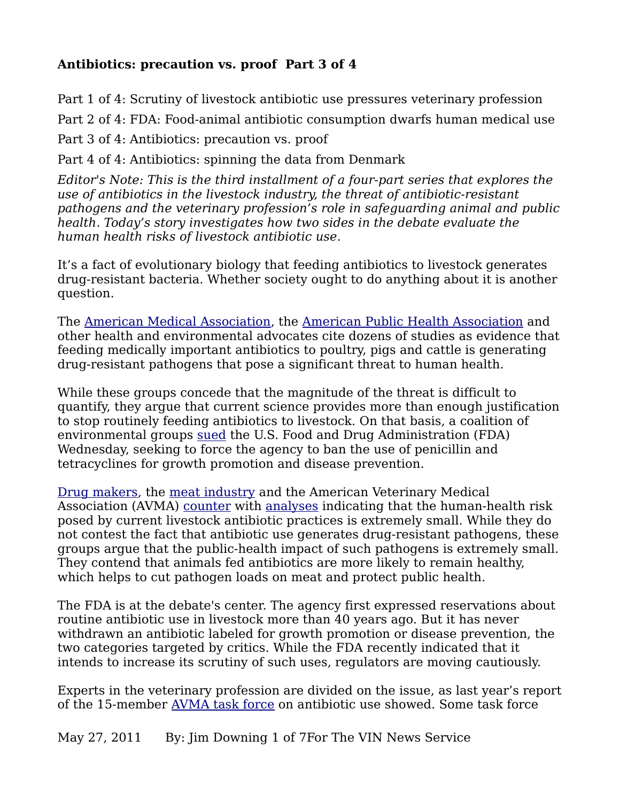## **Antibiotics: precaution vs. proof Part 3 of 4**

Part 1 of 4: Scrutiny of livestock antibiotic use pressures veterinary profession Part 2 of 4: FDA: Food-animal antibiotic consumption dwarfs human medical use Part 3 of 4: Antibiotics: precaution vs. proof

Part 4 of 4: Antibiotics: spinning the data from Denmark

*Editor's Note: This is the third installment of a four-part series that explores the use of antibiotics in the livestock industry, the threat of antibiotic-resistant pathogens and the veterinary profession's role in safeguarding animal and public health. Today's story investigates how two sides in the debate evaluate the human health risks of livestock antibiotic use.*

It's a fact of evolutionary biology that feeding antibiotics to livestock generates drug-resistant bacteria. Whether society ought to do anything about it is another question.

The [American Medical Association,](https://ssl3.ama-assn.org/apps/ecomm/PolicyFinderForm.pl?site=www.ama-assn.org&uri=%2Fresources%2Fdoc%2FPolicyFinder%2Fpolicyfiles%2FHnE%2FH-440.895.HTM) the [American Public Health Association](http://www.apha.org/advocacy/policy/policysearch/default.htm?id=179%20) and other health and environmental advocates cite dozens of studies as evidence that feeding medically important antibiotics to poultry, pigs and cattle is generating drug-resistant pathogens that pose a significant threat to human health.

While these groups concede that the magnitude of the threat is difficult to quantify, they argue that current science provides more than enough justification to stop routinely feeding antibiotics to livestock. On that basis, a coalition of environmental groups [sued](http://www.nrdc.org/media/2011/110525.asp) the U.S. Food and Drug Administration (FDA) Wednesday, seeking to force the agency to ban the use of penicillin and tetracyclines for growth promotion and disease prevention.

[Drug makers,](http://www.ahi.org/content.asp?contentid=798) the [meat industry](http://www.meatami.com/ht/a/GetDocumentAction/i/60639) and the American Veterinary Medical Association (AVMA) [counter](http://www.avma.org/public_health/antimicrobial_fact_sheet_veterinarians.asp) with [analyses](http://www.avma.org/public_health/antimicrobial_use.asp) indicating that the human-health risk posed by current livestock antibiotic practices is extremely small. While they do not contest the fact that antibiotic use generates drug-resistant pathogens, these groups argue that the public-health impact of such pathogens is extremely small. They contend that animals fed antibiotics are more likely to remain healthy, which helps to cut pathogen loads on meat and protect public health.

The FDA is at the debate's center. The agency first expressed reservations about routine antibiotic use in livestock more than 40 years ago. But it has never withdrawn an antibiotic labeled for growth promotion or disease prevention, the two categories targeted by critics. While the FDA recently indicated that it intends to increase its scrutiny of such uses, regulators are moving cautiously.

Experts in the veterinary profession are divided on the issue, as last year's report of the 15-member [AVMA task force](http://www.avma.org/AUTFreport/) on antibiotic use showed. Some task force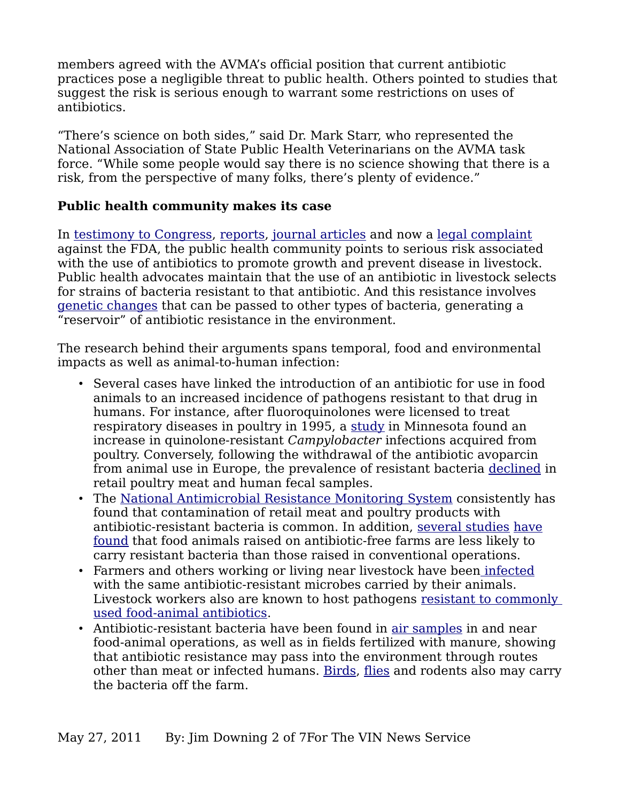members agreed with the AVMA's official position that current antibiotic practices pose a negligible threat to public health. Others pointed to studies that suggest the risk is serious enough to warrant some restrictions on uses of antibiotics.

"There's science on both sides," said Dr. Mark Starr, who represented the National Association of State Public Health Veterinarians on the AVMA task force. "While some people would say there is no science showing that there is a risk, from the perspective of many folks, there's plenty of evidence."

#### **Public health community makes its case**

In [testimony to Congress,](http://www.ncifap.org/bin/s/i/Microsoft_Word_2008_06_05_Final_release_for_House_testimony1_doc.pdf) [reports,](http://www.ncifap.org/_images/212-2_AntbioRprt_FIN_web%206.7.10%202.pdf%20) [journal articles](http://www.ncbi.nlm.nih.gov/pubmed/18348709) and now a [legal complaint](http://docs.nrdc.org/health/files/hea_11052501a.pdf) against the FDA, the public health community points to serious risk associated with the use of antibiotics to promote growth and prevent disease in livestock. Public health advocates maintain that the use of an antibiotic in livestock selects for strains of bacteria resistant to that antibiotic. And this resistance involves [genetic changes](http://www.informaworld.com/smpp/content~db=all~content=a768446446) that can be passed to other types of bacteria, generating a "reservoir" of antibiotic resistance in the environment.

The research behind their arguments spans temporal, food and environmental impacts as well as animal-to-human infection:

- Several cases have linked the introduction of an antibiotic for use in food animals to an increased incidence of pathogens resistant to that drug in humans. For instance, after fluoroquinolones were licensed to treat respiratory diseases in poultry in 1995, a [study](http://www.ncbi.nlm.nih.gov/pubmed/10332013) in Minnesota found an increase in quinolone-resistant *Campylobacter* infections acquired from poultry. Conversely, following the withdrawal of the antibiotic avoparcin from animal use in Europe, the prevalence of resistant bacteria [declined](http://www.ncbi.nlm.nih.gov/pubmed/10332721) in retail poultry meat and human fecal samples.
- The [National Antimicrobial Resistance Monitoring System](http://www.fda.gov/AnimalVeterinary/SafetyHealth/AntimicrobialResistance/NationalAntimicrobialResistanceMonitoringSystem/ucm253019.htm) consistently has found that contamination of retail meat and poultry products with antibiotic-resistant bacteria is common. In addition, [several studies](http://ehp03.niehs.nih.gov/article/fetchArticle.action?articleURI=info:doi/10.1289/ehp.7647) [have](http://aem.asm.org/cgi/content/abstract/72/5/3600) [found](http://avmajournals.avma.org/doi/abs/10.2460/javma.2005.226.589) that food animals raised on antibiotic-free farms are less likely to carry resistant bacteria than those raised in conventional operations.
- Farmers and others working or living near livestock have bee[n infected](http://www.ncbi.nlm.nih.gov/pubmed/10781620) with the same antibiotic-resistant microbes carried by their animals. Livestock workers also are known to host pathogens [resistant to commonly](http://www.ncbi.nlm.nih.gov/pubmed/18087592)  [used food-animal antibiotics.](http://www.ncbi.nlm.nih.gov/pubmed/18087592)
- Antibiotic-resistant bacteria have been found in [air samples](http://www.ncbi.nlm.nih.gov/pubmed/16835055) in and near food-animal operations, as well as in fields fertilized with manure, showing that antibiotic resistance may pass into the environment through routes other than meat or infected humans. [Birds,](http://www.cdc.gov/ncidod/eid/vol11no06/04-0717.htm) [flies](http://www.jhsph.edu/water_health/_pdf/AntibioticResistantEntero.pdf) and rodents also may carry the bacteria off the farm.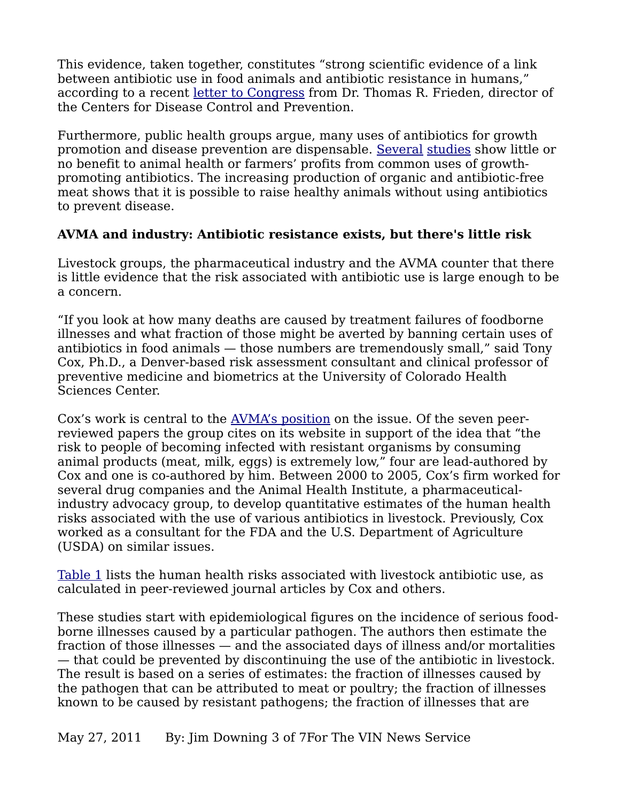This evidence, taken together, constitutes "strong scientific evidence of a link between antibiotic use in food animals and antibiotic resistance in humans," according to a recent [letter to Congress](http://www.livablefutureblog.com/wp-content/uploads/2010/08/2069918-chairman-pallone.pdf%20) from Dr. Thomas R. Frieden, director of the Centers for Disease Control and Prevention.

Furthermore, public health groups argue, many uses of antibiotics for growth promotion and disease prevention are dispensable. [Several](http://www.avma.org/journals/javma/articles_public/020601_swine_dritz.pdf) [studies](http://www.jhsph.edu/bin/s/a/antibiotics_poultry07.pdf) show little or no benefit to animal health or farmers' profits from common uses of growthpromoting antibiotics. The increasing production of organic and antibiotic-free meat shows that it is possible to raise healthy animals without using antibiotics to prevent disease.

### **AVMA and industry: Antibiotic resistance exists, but there's little risk**

Livestock groups, the pharmaceutical industry and the AVMA counter that there is little evidence that the risk associated with antibiotic use is large enough to be a concern.

"If you look at how many deaths are caused by treatment failures of foodborne illnesses and what fraction of those might be averted by banning certain uses of antibiotics in food animals — those numbers are tremendously small," said Tony Cox, Ph.D., a Denver-based risk assessment consultant and clinical professor of preventive medicine and biometrics at the University of Colorado Health Sciences Center.

Cox's work is central to the [AVMA's position](http://www.avma.org/public_health/antimicrobial_fact_sheet_veterinarians.asp) on the issue. Of the seven peerreviewed papers the group cites on its website in support of the idea that "the risk to people of becoming infected with resistant organisms by consuming animal products (meat, milk, eggs) is extremely low," four are lead-authored by Cox and one is co-authored by him. Between 2000 to 2005, Cox's firm worked for several drug companies and the Animal Health Institute, a pharmaceuticalindustry advocacy group, to develop quantitative estimates of the human health risks associated with the use of various antibiotics in livestock. Previously, Cox worked as a consultant for the FDA and the U.S. Department of Agriculture (USDA) on similar issues.

[Table 1](http://www.vin.com/apputil/image/handler.ashx?docid=4905510) lists the human health risks associated with livestock antibiotic use, as calculated in peer-reviewed journal articles by Cox and others.

These studies start with epidemiological figures on the incidence of serious foodborne illnesses caused by a particular pathogen. The authors then estimate the fraction of those illnesses — and the associated days of illness and/or mortalities — that could be prevented by discontinuing the use of the antibiotic in livestock. The result is based on a series of estimates: the fraction of illnesses caused by the pathogen that can be attributed to meat or poultry; the fraction of illnesses known to be caused by resistant pathogens; the fraction of illnesses that are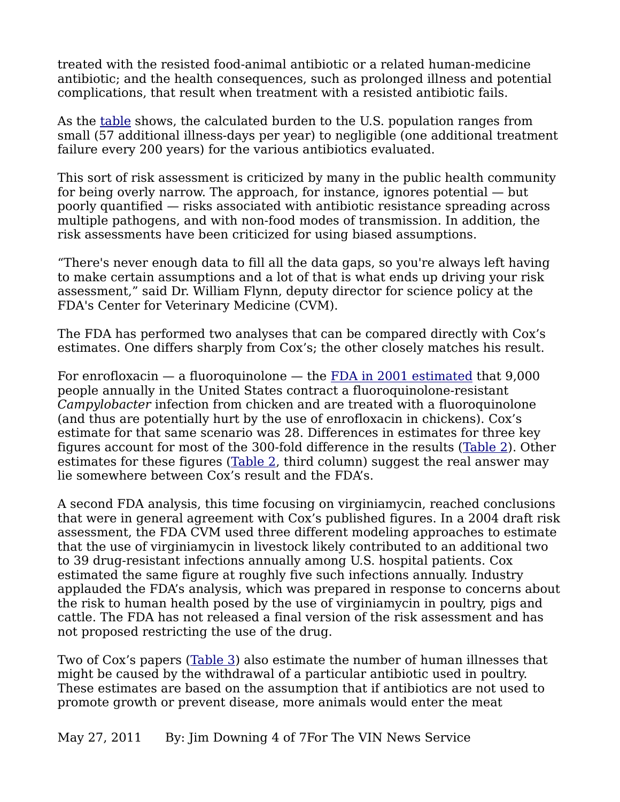treated with the resisted food-animal antibiotic or a related human-medicine antibiotic; and the health consequences, such as prolonged illness and potential complications, that result when treatment with a resisted antibiotic fails.

As the <u>table</u> shows, the calculated burden to the U.S. population ranges from small (57 additional illness-days per year) to negligible (one additional treatment failure every 200 years) for the various antibiotics evaluated.

This sort of risk assessment is criticized by many in the public health community for being overly narrow. The approach, for instance, ignores potential — but poorly quantified — risks associated with antibiotic resistance spreading across multiple pathogens, and with non-food modes of transmission. In addition, the risk assessments have been criticized for using biased assumptions.

"There's never enough data to fill all the data gaps, so you're always left having to make certain assumptions and a lot of that is what ends up driving your risk assessment," said Dr. William Flynn, deputy director for science policy at the FDA's Center for Veterinary Medicine (CVM).

The FDA has performed two analyses that can be compared directly with Cox's estimates. One differs sharply from Cox's; the other closely matches his result.

For enrofloxacin — a fluoroquinolone — the [FDA in 2001 estimated](http://www.fda.gov/downloads/AnimalVeterinary/SafetyHealth/RecallsWithdrawals/UCM042038.pdf) that 9,000 people annually in the United States contract a fluoroquinolone-resistant *Campylobacter* infection from chicken and are treated with a fluoroquinolone (and thus are potentially hurt by the use of enrofloxacin in chickens). Cox's estimate for that same scenario was 28. Differences in estimates for three key figures account for most of the 300-fold difference in the results [\(Table 2\)](http://www.vin.com/apputil/image/handler.ashx?docid=4905512). Other estimates for these figures [\(Table 2,](http://www.vin.com/apputil/image/handler.ashx?docid=4905512) third column) suggest the real answer may lie somewhere between Cox's result and the FDA's.

A second FDA analysis, this time focusing on virginiamycin, reached conclusions that were in general agreement with Cox's published figures. In a 2004 draft risk assessment, the FDA CVM used three different modeling approaches to estimate that the use of virginiamycin in livestock likely contributed to an additional two to 39 drug-resistant infections annually among U.S. hospital patients. Cox estimated the same figure at roughly five such infections annually. Industry applauded the FDA's analysis, which was prepared in response to concerns about the risk to human health posed by the use of virginiamycin in poultry, pigs and cattle. The FDA has not released a final version of the risk assessment and has not proposed restricting the use of the drug.

Two of Cox's papers [\(Table 3\)](http://www.vin.com/apputil/image/handler.ashx?docid=4905513) also estimate the number of human illnesses that might be caused by the withdrawal of a particular antibiotic used in poultry. These estimates are based on the assumption that if antibiotics are not used to promote growth or prevent disease, more animals would enter the meat

May 27, 2011 By: Jim Downing 4 of 7For The VIN News Service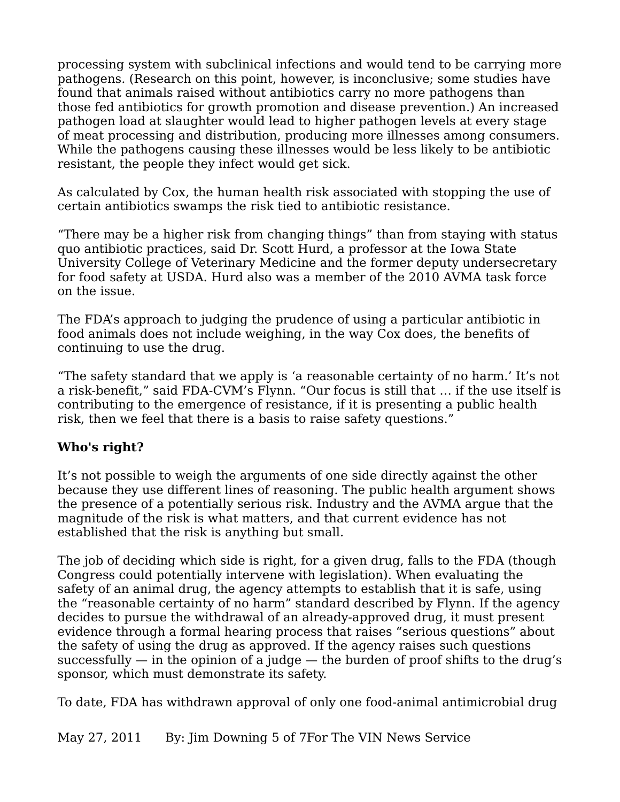processing system with subclinical infections and would tend to be carrying more pathogens. (Research on this point, however, is inconclusive; some studies have found that animals raised without antibiotics carry no more pathogens than those fed antibiotics for growth promotion and disease prevention.) An increased pathogen load at slaughter would lead to higher pathogen levels at every stage of meat processing and distribution, producing more illnesses among consumers. While the pathogens causing these illnesses would be less likely to be antibiotic resistant, the people they infect would get sick.

As calculated by Cox, the human health risk associated with stopping the use of certain antibiotics swamps the risk tied to antibiotic resistance.

"There may be a higher risk from changing things" than from staying with status quo antibiotic practices, said Dr. Scott Hurd, a professor at the Iowa State University College of Veterinary Medicine and the former deputy undersecretary for food safety at USDA. Hurd also was a member of the 2010 AVMA task force on the issue.

The FDA's approach to judging the prudence of using a particular antibiotic in food animals does not include weighing, in the way Cox does, the benefits of continuing to use the drug.

"The safety standard that we apply is 'a reasonable certainty of no harm.' It's not a risk-benefit," said FDA-CVM's Flynn. "Our focus is still that … if the use itself is contributing to the emergence of resistance, if it is presenting a public health risk, then we feel that there is a basis to raise safety questions."

### **Who's right?**

It's not possible to weigh the arguments of one side directly against the other because they use different lines of reasoning. The public health argument shows the presence of a potentially serious risk. Industry and the AVMA argue that the magnitude of the risk is what matters, and that current evidence has not established that the risk is anything but small.

The job of deciding which side is right, for a given drug, falls to the FDA (though Congress could potentially intervene with legislation). When evaluating the safety of an animal drug, the agency attempts to establish that it is safe, using the "reasonable certainty of no harm" standard described by Flynn. If the agency decides to pursue the withdrawal of an already-approved drug, it must present evidence through a formal hearing process that raises "serious questions" about the safety of using the drug as approved. If the agency raises such questions successfully  $-$  in the opinion of a judge  $-$  the burden of proof shifts to the drug's sponsor, which must demonstrate its safety.

To date, FDA has withdrawn approval of only one food-animal antimicrobial drug

May 27, 2011 By: Jim Downing 5 of 7 For The VIN News Service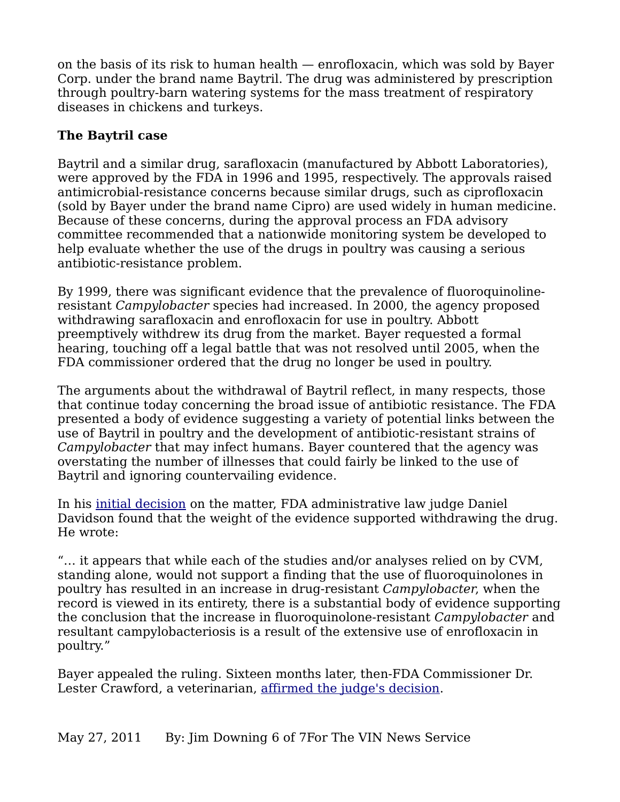on the basis of its risk to human health — enrofloxacin, which was sold by Bayer Corp. under the brand name Baytril. The drug was administered by prescription through poultry-barn watering systems for the mass treatment of respiratory diseases in chickens and turkeys.

# **The Baytril case**

Baytril and a similar drug, sarafloxacin (manufactured by Abbott Laboratories), were approved by the FDA in 1996 and 1995, respectively. The approvals raised antimicrobial-resistance concerns because similar drugs, such as ciprofloxacin (sold by Bayer under the brand name Cipro) are used widely in human medicine. Because of these concerns, during the approval process an FDA advisory committee recommended that a nationwide monitoring system be developed to help evaluate whether the use of the drugs in poultry was causing a serious antibiotic-resistance problem.

By 1999, there was significant evidence that the prevalence of fluoroquinolineresistant *Campylobacter* species had increased. In 2000, the agency proposed withdrawing sarafloxacin and enrofloxacin for use in poultry. Abbott preemptively withdrew its drug from the market. Bayer requested a formal hearing, touching off a legal battle that was not resolved until 2005, when the FDA commissioner ordered that the drug no longer be used in poultry.

The arguments about the withdrawal of Baytril reflect, in many respects, those that continue today concerning the broad issue of antibiotic resistance. The FDA presented a body of evidence suggesting a variety of potential links between the use of Baytril in poultry and the development of antibiotic-resistant strains of *Campylobacter* that may infect humans. Bayer countered that the agency was overstating the number of illnesses that could fairly be linked to the use of Baytril and ignoring countervailing evidence.

In his [initial decision](http://www.fda.gov/ohrms/dockets/dailys/04/mar04/031604/00n-1571-idf0001-vol389.pdf) on the matter, FDA administrative law judge Daniel Davidson found that the weight of the evidence supported withdrawing the drug. He wrote:

"… it appears that while each of the studies and/or analyses relied on by CVM, standing alone, would not support a finding that the use of fluoroquinolones in poultry has resulted in an increase in drug-resistant *Campylobacter*, when the record is viewed in its entirety, there is a substantial body of evidence supporting the conclusion that the increase in fluoroquinolone-resistant *Campylobacter* and resultant campylobacteriosis is a result of the extensive use of enrofloxacin in poultry."

Bayer appealed the ruling. Sixteen months later, then-FDA Commissioner Dr. Lester Crawford, a veterinarian, [affirmed the judge's decision.](http://www.washingtonpost.com/wp-dyn/content/article/2005/09/08/AR2005090801918.html)